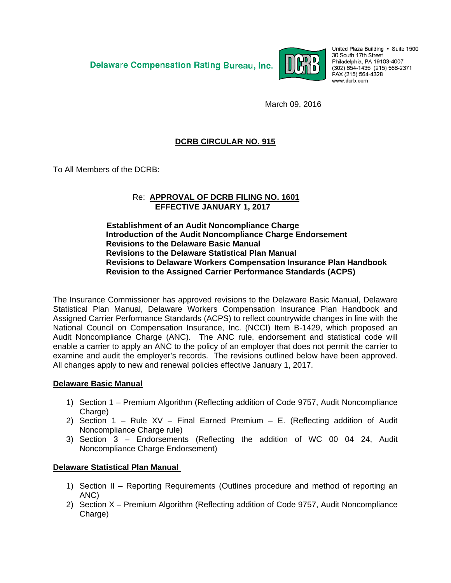**Delaware Compensation Rating Bureau, Inc.** 



United Plaza Building · Suite 1500 30 South 17th Street Philadelphia, PA 19103-4007 (302) 654-1435 (215) 568-2371 FAX (215) 564-4328 www.dcrb.com

March 09, 2016

# **DCRB CIRCULAR NO. 915**

To All Members of the DCRB:

#### Re: **APPROVAL OF DCRB FILING NO. 1601 EFFECTIVE JANUARY 1, 2017**

#### **Establishment of an Audit Noncompliance Charge Introduction of the Audit Noncompliance Charge Endorsement Revisions to the Delaware Basic Manual Revisions to the Delaware Statistical Plan Manual Revisions to Delaware Workers Compensation Insurance Plan Handbook Revision to the Assigned Carrier Performance Standards (ACPS)**

The Insurance Commissioner has approved revisions to the Delaware Basic Manual, Delaware Statistical Plan Manual, Delaware Workers Compensation Insurance Plan Handbook and Assigned Carrier Performance Standards (ACPS) to reflect countrywide changes in line with the National Council on Compensation Insurance, Inc. (NCCI) Item B-1429, which proposed an Audit Noncompliance Charge (ANC). The ANC rule, endorsement and statistical code will enable a carrier to apply an ANC to the policy of an employer that does not permit the carrier to examine and audit the employer's records. The revisions outlined below have been approved. All changes apply to new and renewal policies effective January 1, 2017.

#### **Delaware Basic Manual**

- 1) Section 1 Premium Algorithm (Reflecting addition of Code 9757, Audit Noncompliance Charge)
- 2) Section 1 Rule XV Final Earned Premium E. (Reflecting addition of Audit Noncompliance Charge rule)
- 3) Section 3 Endorsements (Reflecting the addition of WC 00 04 24, Audit Noncompliance Charge Endorsement)

#### **Delaware Statistical Plan Manual**

- 1) Section II Reporting Requirements (Outlines procedure and method of reporting an ANC)
- 2) Section X Premium Algorithm (Reflecting addition of Code 9757, Audit Noncompliance Charge)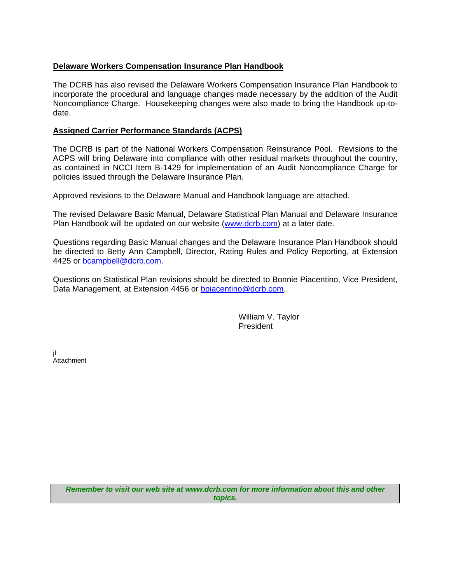## **Delaware Workers Compensation Insurance Plan Handbook**

The DCRB has also revised the Delaware Workers Compensation Insurance Plan Handbook to incorporate the procedural and language changes made necessary by the addition of the Audit Noncompliance Charge. Housekeeping changes were also made to bring the Handbook up-todate.

## **Assigned Carrier Performance Standards (ACPS)**

The DCRB is part of the National Workers Compensation Reinsurance Pool. Revisions to the ACPS will bring Delaware into compliance with other residual markets throughout the country, as contained in NCCI Item B-1429 for implementation of an Audit Noncompliance Charge for policies issued through the Delaware Insurance Plan.

Approved revisions to the Delaware Manual and Handbook language are attached.

The revised Delaware Basic Manual, Delaware Statistical Plan Manual and Delaware Insurance Plan Handbook will be updated on our website (www.dcrb.com) at a later date.

Questions regarding Basic Manual changes and the Delaware Insurance Plan Handbook should be directed to Betty Ann Campbell, Director, Rating Rules and Policy Reporting, at Extension 4425 or bcampbell@dcrb.com.

Questions on Statistical Plan revisions should be directed to Bonnie Piacentino, Vice President, Data Management, at Extension 4456 or bpiacentino@dcrb.com.

> William V. Taylor President

jf **Attachment** 

> *Remember to visit our web site at www.dcrb.com for more information about this and other topics.*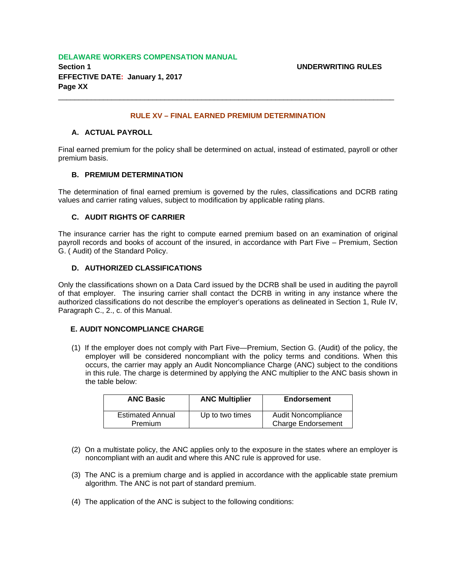#### **DELAWARE WORKERS COMPENSATION MANUAL**

**Section 1 UNDERWRITING RULES EFFECTIVE DATE: January 1, 2017 Page XX** 

#### **RULE XV – FINAL EARNED PREMIUM DETERMINATION**

\_\_\_\_\_\_\_\_\_\_\_\_\_\_\_\_\_\_\_\_\_\_\_\_\_\_\_\_\_\_\_\_\_\_\_\_\_\_\_\_\_\_\_\_\_\_\_\_\_\_\_\_\_\_\_\_\_\_\_\_\_\_\_\_\_\_\_\_\_\_\_\_\_\_\_\_\_\_\_\_\_\_

#### **A. ACTUAL PAYROLL**

Final earned premium for the policy shall be determined on actual, instead of estimated, payroll or other premium basis.

#### **B. PREMIUM DETERMINATION**

The determination of final earned premium is governed by the rules, classifications and DCRB rating values and carrier rating values, subject to modification by applicable rating plans.

#### **C. AUDIT RIGHTS OF CARRIER**

The insurance carrier has the right to compute earned premium based on an examination of original payroll records and books of account of the insured, in accordance with Part Five – Premium, Section G. ( Audit) of the Standard Policy.

#### **D. AUTHORIZED CLASSIFICATIONS**

Only the classifications shown on a Data Card issued by the DCRB shall be used in auditing the payroll of that employer. The insuring carrier shall contact the DCRB in writing in any instance where the authorized classifications do not describe the employer's operations as delineated in Section 1, Rule IV, Paragraph C., 2., c. of this Manual.

#### **E. AUDIT NONCOMPLIANCE CHARGE**

(1) If the employer does not comply with Part Five—Premium, Section G. (Audit) of the policy, the employer will be considered noncompliant with the policy terms and conditions. When this occurs, the carrier may apply an Audit Noncompliance Charge (ANC) subject to the conditions in this rule. The charge is determined by applying the ANC multiplier to the ANC basis shown in the table below:

| <b>ANC Basic</b>                          | <b>ANC Multiplier</b> | <b>Endorsement</b>                                      |
|-------------------------------------------|-----------------------|---------------------------------------------------------|
| <b>Estimated Annual</b><br><b>Premium</b> | Up to two times       | <b>Audit Noncompliance</b><br><b>Charge Endorsement</b> |

- (2) On a multistate policy, the ANC applies only to the exposure in the states where an employer is noncompliant with an audit and where this ANC rule is approved for use.
- (3) The ANC is a premium charge and is applied in accordance with the applicable state premium algorithm. The ANC is not part of standard premium.
- (4) The application of the ANC is subject to the following conditions: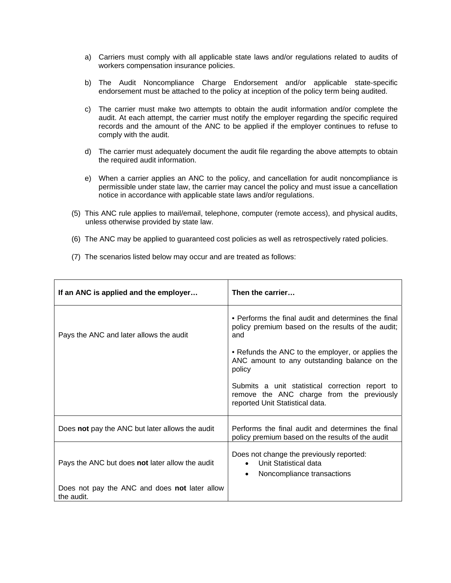- a) Carriers must comply with all applicable state laws and/or regulations related to audits of workers compensation insurance policies.
- b) The Audit Noncompliance Charge Endorsement and/or applicable state-specific endorsement must be attached to the policy at inception of the policy term being audited.
- c) The carrier must make two attempts to obtain the audit information and/or complete the audit. At each attempt, the carrier must notify the employer regarding the specific required records and the amount of the ANC to be applied if the employer continues to refuse to comply with the audit.
- d) The carrier must adequately document the audit file regarding the above attempts to obtain the required audit information.
- e) When a carrier applies an ANC to the policy, and cancellation for audit noncompliance is permissible under state law, the carrier may cancel the policy and must issue a cancellation notice in accordance with applicable state laws and/or regulations.
- (5) This ANC rule applies to mail/email, telephone, computer (remote access), and physical audits, unless otherwise provided by state law.
- (6) The ANC may be applied to guaranteed cost policies as well as retrospectively rated policies.
- (7) The scenarios listed below may occur and are treated as follows:

| If an ANC is applied and the employer                       | Then the carrier                                                                                                                |
|-------------------------------------------------------------|---------------------------------------------------------------------------------------------------------------------------------|
| Pays the ANC and later allows the audit                     | • Performs the final audit and determines the final<br>policy premium based on the results of the audit;<br>and                 |
|                                                             | • Refunds the ANC to the employer, or applies the<br>ANC amount to any outstanding balance on the<br>policy                     |
|                                                             | Submits a unit statistical correction report to<br>remove the ANC charge from the previously<br>reported Unit Statistical data. |
| Does not pay the ANC but later allows the audit             | Performs the final audit and determines the final<br>policy premium based on the results of the audit                           |
| Pays the ANC but does not later allow the audit             | Does not change the previously reported:<br>Unit Statistical data<br>Noncompliance transactions<br>$\bullet$                    |
| Does not pay the ANC and does not later allow<br>the audit. |                                                                                                                                 |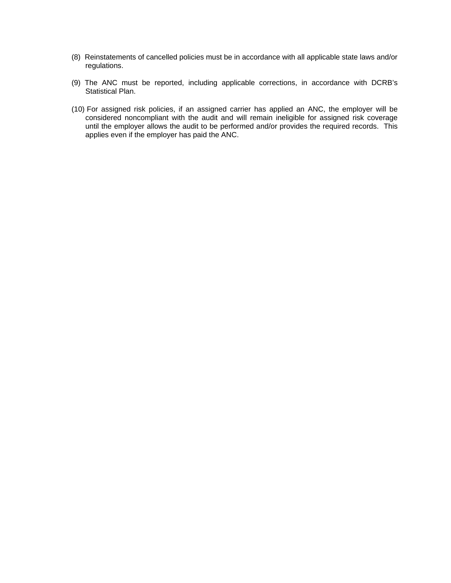- (8) Reinstatements of cancelled policies must be in accordance with all applicable state laws and/or regulations.
- (9) The ANC must be reported, including applicable corrections, in accordance with DCRB's Statistical Plan.
- (10)For assigned risk policies, if an assigned carrier has applied an ANC, the employer will be considered noncompliant with the audit and will remain ineligible for assigned risk coverage until the employer allows the audit to be performed and/or provides the required records. This applies even if the employer has paid the ANC.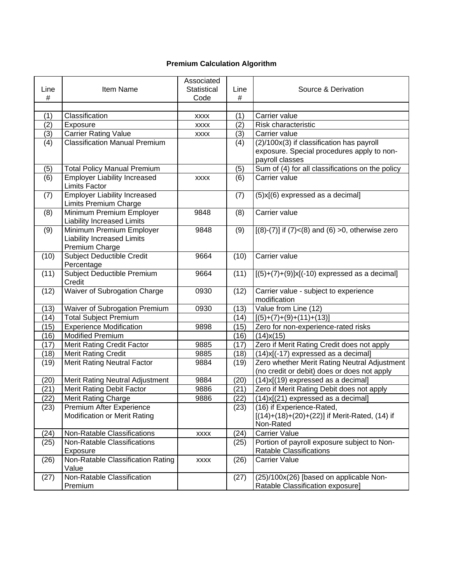# **Premium Calculation Algorithm**

| Line | Item Name                                                                       | Associated<br>Statistical | Line | Source & Derivation                                                                         |
|------|---------------------------------------------------------------------------------|---------------------------|------|---------------------------------------------------------------------------------------------|
| #    |                                                                                 | Code                      | #    |                                                                                             |
| (1)  | Classification                                                                  | <b>XXXX</b>               | (1)  | Carrier value                                                                               |
| (2)  | Exposure                                                                        | <b>XXXX</b>               | (2)  | Risk characteristic                                                                         |
| (3)  | <b>Carrier Rating Value</b>                                                     | <b>XXXX</b>               | (3)  | Carrier value                                                                               |
| (4)  | <b>Classification Manual Premium</b>                                            |                           | (4)  | (2)/100x(3) if classification has payroll                                                   |
|      |                                                                                 |                           |      | exposure. Special procedures apply to non-<br>payroll classes                               |
| (5)  | <b>Total Policy Manual Premium</b>                                              |                           | (5)  | Sum of (4) for all classifications on the policy                                            |
| (6)  | <b>Employer Liability Increased</b><br><b>Limits Factor</b>                     | <b>XXXX</b>               | (6)  | Carrier value                                                                               |
| (7)  | <b>Employer Liability Increased</b><br>Limits Premium Charge                    |                           | (7)  | $(5)$ x $[(6)$ expressed as a decimal]                                                      |
| (8)  | Minimum Premium Employer<br><b>Liability Increased Limits</b>                   | 9848                      | (8)  | Carrier value                                                                               |
| (9)  | Minimum Premium Employer<br><b>Liability Increased Limits</b><br>Premium Charge | 9848                      | (9)  | $[(8)-(7)]$ if $(7) < (8)$ and $(6) >0$ , otherwise zero                                    |
| (10) | <b>Subject Deductible Credit</b><br>Percentage                                  | 9664                      | (10) | Carrier value                                                                               |
| (11) | Subject Deductible Premium<br>Credit                                            | 9664                      | (11) | $[(5)+(7)+(9)]x[(-10)$ expressed as a decimal]                                              |
| (12) | Waiver of Subrogation Charge                                                    | 0930                      | (12) | Carrier value - subject to experience<br>modification                                       |
| (13) | Waiver of Subrogation Premium                                                   | 0930                      | (13) | Value from Line (12)                                                                        |
| (14) | <b>Total Subject Premium</b>                                                    |                           | (14) | $[(5)+(7)+(9)+(11)+(13)]$                                                                   |
| (15) | <b>Experience Modification</b>                                                  | 9898                      | (15) | Zero for non-experience-rated risks                                                         |
| (16) | <b>Modified Premium</b>                                                         |                           | (16) | $(14)$ x $(15)$                                                                             |
| (17) | <b>Merit Rating Credit Factor</b>                                               | 9885                      | (17) | Zero if Merit Rating Credit does not apply                                                  |
| (18) | <b>Merit Rating Credit</b>                                                      | 9885                      | (18) | (14)x[(-17) expressed as a decimal]                                                         |
| (19) | <b>Merit Rating Neutral Factor</b>                                              | 9884                      | (19) | Zero whether Merit Rating Neutral Adjustment<br>(no credit or debit) does or does not apply |
| (20) | Merit Rating Neutral Adjustment                                                 | 9884                      | (20) | (14)x[(19) expressed as a decimal]                                                          |
| (21) | <b>Merit Rating Debit Factor</b>                                                | 9886                      | (21) | Zero if Merit Rating Debit does not apply                                                   |
| (22) | <b>Merit Rating Charge</b>                                                      | 9886                      | (22) | $(14)x[(21)$ expressed as a decimal]                                                        |
| (23) | Premium After Experience<br><b>Modification or Merit Rating</b>                 |                           | (23) | (16) if Experience-Rated,<br>[(14)+(18)+(20)+(22)] if Merit-Rated, (14) if<br>Non-Rated     |
| (24) | Non-Ratable Classifications                                                     | <b>XXXX</b>               | (24) | <b>Carrier Value</b>                                                                        |
| (25) | Non-Ratable Classifications<br>Exposure                                         |                           | (25) | Portion of payroll exposure subject to Non-<br>Ratable Classifications                      |
| (26) | Non-Ratable Classification Rating<br>Value                                      | <b>XXXX</b>               | (26) | <b>Carrier Value</b>                                                                        |
| (27) | Non-Ratable Classification<br>Premium                                           |                           | (27) | (25)/100x(26) [based on applicable Non-<br>Ratable Classification exposure]                 |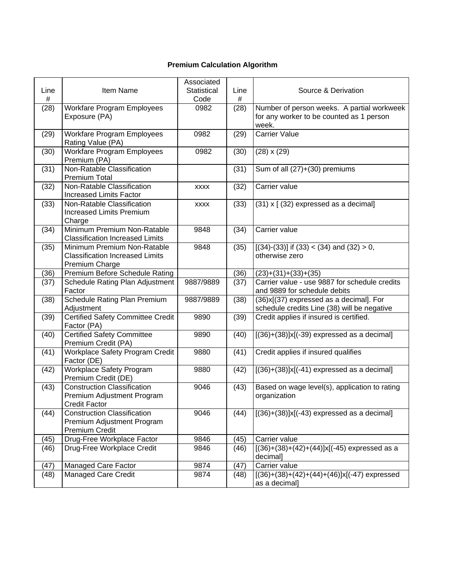# **Premium Calculation Algorithm**

| Line<br># | Item Name                                                                                | Associated<br>Statistical<br>Code | Line<br>#       | Source & Derivation                                                                             |
|-----------|------------------------------------------------------------------------------------------|-----------------------------------|-----------------|-------------------------------------------------------------------------------------------------|
| (28)      | <b>Workfare Program Employees</b><br>Exposure (PA)                                       | 0982                              | (28)            | Number of person weeks. A partial workweek<br>for any worker to be counted as 1 person<br>week. |
| (29)      | <b>Workfare Program Employees</b><br>Rating Value (PA)                                   | 0982                              | (29)            | <b>Carrier Value</b>                                                                            |
| (30)      | <b>Workfare Program Employees</b><br>Premium (PA)                                        | 0982                              | (30)            | $(28) \times (29)$                                                                              |
| (31)      | Non-Ratable Classification<br><b>Premium Total</b>                                       |                                   | $\overline{31}$ | Sum of all (27)+(30) premiums                                                                   |
| (32)      | Non-Ratable Classification<br><b>Increased Limits Factor</b>                             | <b>XXXX</b>                       | (32)            | Carrier value                                                                                   |
| (33)      | Non-Ratable Classification<br><b>Increased Limits Premium</b><br>Charge                  | <b>XXXX</b>                       | (33)            | (31) x [ (32) expressed as a decimal]                                                           |
| (34)      | Minimum Premium Non-Ratable<br><b>Classification Increased Limits</b>                    | 9848                              | (34)            | Carrier value                                                                                   |
| (35)      | Minimum Premium Non-Ratable<br><b>Classification Increased Limits</b><br>Premium Charge  | 9848                              | (35)            | $[(34)-(33)]$ if $(33) < (34)$ and $(32) > 0$ ,<br>otherwise zero                               |
| (36)      | Premium Before Schedule Rating                                                           |                                   | (36)            | $(23)+(31)+(33)+(35)$                                                                           |
| (37)      | Schedule Rating Plan Adjustment<br>Factor                                                | 9887/9889                         | (37)            | Carrier value - use 9887 for schedule credits<br>and 9889 for schedule debits                   |
| (38)      | Schedule Rating Plan Premium<br>Adjustment                                               | 9887/9889                         | (38)            | (36)x[(37) expressed as a decimal]. For<br>schedule credits Line (38) will be negative          |
| (39)      | Certified Safety Committee Credit<br>Factor (PA)                                         | 9890                              | (39)            | Credit applies if insured is certified.                                                         |
| (40)      | <b>Certified Safety Committee</b><br>Premium Credit (PA)                                 | 9890                              | (40)            | $[(36)+(38)]x[(-39)$ expressed as a decimal]                                                    |
| (41)      | Workplace Safety Program Credit<br>Factor (DE)                                           | 9880                              | (41)            | Credit applies if insured qualifies                                                             |
| (42)      | <b>Workplace Safety Program</b><br>Premium Credit (DE)                                   | 9880                              | (42)            | $[(36)+(38)]x[(-41)$ expressed as a decimal]                                                    |
| (43)      | <b>Construction Classification</b><br>Premium Adjustment Program<br><b>Credit Factor</b> | 9046                              | (43)            | Based on wage level(s), application to rating<br>organization                                   |
| (44)      | <b>Construction Classification</b><br>Premium Adjustment Program<br>Premium Credit       | 9046                              | (44)            | $[(36)+(38)]x[(-43)$ expressed as a decimal]                                                    |
| (45)      | Drug-Free Workplace Factor                                                               | 9846                              | (45)            | Carrier value                                                                                   |
| (46)      | Drug-Free Workplace Credit                                                               | 9846                              | (46)            | $[(36)+(38)+(42)+(44)]x[(-45)$ expressed as a<br>decimal]                                       |
| (47)      | Managed Care Factor                                                                      | 9874                              | (47)            | Carrier value                                                                                   |
| (48)      | <b>Managed Care Credit</b>                                                               | 9874                              | (48)            | $[(36)+(38)+(42)+(44)+\overline{(46)}]x[(-47)$ expressed<br>as a decimal]                       |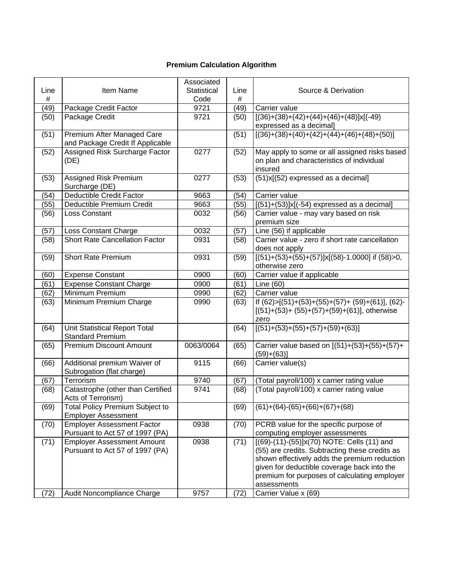# **Premium Calculation Algorithm**

|      |                                                                      | Associated         |      |                                                                                              |  |
|------|----------------------------------------------------------------------|--------------------|------|----------------------------------------------------------------------------------------------|--|
| Line | Item Name                                                            | <b>Statistical</b> | Line | Source & Derivation                                                                          |  |
| $\#$ |                                                                      | Code               | #    |                                                                                              |  |
| (49) | Package Credit Factor                                                | 9721               | (49) | Carrier value                                                                                |  |
| (50) | Package Credit                                                       | 9721               | (50) | $[(36)+(38)+(42)+(44)+(46)+(48)]x[(-49)]$                                                    |  |
|      |                                                                      |                    |      | expressed as a decimal]                                                                      |  |
| (51) | Premium After Managed Care                                           |                    | (51) | $[(36)+(38)+(40)+(42)+(44)+(46)+(48)+(50)]$                                                  |  |
|      | and Package Credit If Applicable                                     |                    |      |                                                                                              |  |
| (52) | Assigned Risk Surcharge Factor                                       | 0277               | (52) | May apply to some or all assigned risks based                                                |  |
|      | (DE)                                                                 |                    |      | on plan and characteristics of individual                                                    |  |
|      |                                                                      |                    |      | insured                                                                                      |  |
| (53) | Assigned Risk Premium                                                | 0277               | (53) | (51)x[(52) expressed as a decimal]                                                           |  |
|      | Surcharge (DE)                                                       |                    |      |                                                                                              |  |
| (54) | <b>Deductible Credit Factor</b>                                      | 9663               | (54) | Carrier value                                                                                |  |
| (55) | Deductible Premium Credit                                            | 9663               | (55) | $[(51)+(53)]x[(-54)$ expressed as a decimal]                                                 |  |
| (56) | Loss Constant                                                        | 0032               | (56) | Carrier value - may vary based on risk                                                       |  |
|      |                                                                      |                    |      | premium size                                                                                 |  |
| (57) | Loss Constant Charge                                                 | 0032               | (57) | Line (56) if applicable                                                                      |  |
| (58) | <b>Short Rate Cancellation Factor</b>                                | 0931               | (58) | Carrier value - zero if short rate cancellation<br>does not apply                            |  |
| (59) | <b>Short Rate Premium</b>                                            | 0931               | (59) | $[(51)+(53)+(55)+(57)]x[(58)-1.0000]$ if $(58) > 0$ ,                                        |  |
|      |                                                                      |                    |      | otherwise zero                                                                               |  |
| (60) | <b>Expense Constant</b>                                              | 0900               | (60) | Carrier value if applicable                                                                  |  |
| (61) | <b>Expense Constant Charge</b>                                       | 0900               | (61) | Line (60)                                                                                    |  |
| (62) | Minimum Premium                                                      | 0990               | (62) | Carrier value                                                                                |  |
| (63) | Minimum Premium Charge                                               | 0990               | (63) | If $(62) > [(51) + (53) + (55) + (57) + (59) + (61)], (62) -$                                |  |
|      |                                                                      |                    |      | $[(51)+(53)+(55)+(57)+(59)+(61)],$ otherwise                                                 |  |
|      |                                                                      |                    |      | zero                                                                                         |  |
| (64) | Unit Statistical Report Total                                        |                    | (64) | $[(51)+(53)+(55)+(57)+(59)+(63)]$                                                            |  |
|      | <b>Standard Premium</b>                                              |                    |      |                                                                                              |  |
| (65) | <b>Premium Discount Amount</b>                                       | 0063/0064          | (65) | Carrier value based on [(51)+(53)+(55)+(57)+                                                 |  |
|      |                                                                      |                    |      | $(59)+(63)$ ]                                                                                |  |
| (66) | Additional premium Waiver of                                         | 9115               | (66) | Carrier value(s)                                                                             |  |
|      | Subrogation (flat charge)                                            |                    |      |                                                                                              |  |
| (67) | Terrorism                                                            | 9740               | (67) | (Total payroll/100) x carrier rating value                                                   |  |
| (68) | Catastrophe (other than Certified                                    | 9741               | (68) | (Total payroll/100) x carrier rating value                                                   |  |
|      | Acts of Terrorism)                                                   |                    |      |                                                                                              |  |
| (69) | <b>Total Policy Premium Subject to</b>                               |                    |      | $(69)$ $(61)+(64)-(65)+(66)+(67)+(68)$                                                       |  |
|      | <b>Employer Assessment</b>                                           |                    |      |                                                                                              |  |
| (70) | <b>Employer Assessment Factor</b>                                    | 0938               | (70) | PCRB value for the specific purpose of                                                       |  |
|      | Pursuant to Act 57 of 1997 (PA)                                      |                    |      | computing employer assessments                                                               |  |
| (71) | <b>Employer Assessment Amount</b><br>Pursuant to Act 57 of 1997 (PA) | 0938               | (71) | [(69)-(11)-(55)]x(70) NOTE: Cells (11) and<br>(55) are credits. Subtracting these credits as |  |
|      |                                                                      |                    |      | shown effectively adds the premium reduction                                                 |  |
|      |                                                                      |                    |      | given for deductible coverage back into the                                                  |  |
|      |                                                                      |                    |      | premium for purposes of calculating employer                                                 |  |
|      |                                                                      |                    |      | assessments                                                                                  |  |
| (72) | Audit Noncompliance Charge                                           | 9757               | (72) | Carrier Value x (69)                                                                         |  |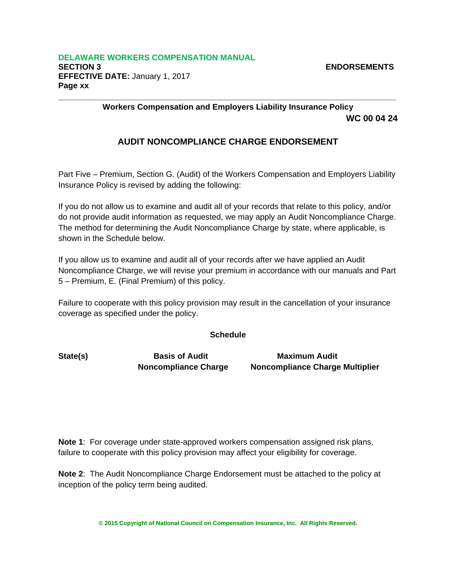**Workers Compensation and Employers Liability Insurance Policy WC 00 04 24** 

# **AUDIT NONCOMPLIANCE CHARGE ENDORSEMENT**

**\_\_\_\_\_\_\_\_\_\_\_\_\_\_\_\_\_\_\_\_\_\_\_\_\_\_\_\_\_\_\_\_\_\_\_\_\_\_\_\_\_\_\_\_\_\_\_\_\_\_\_\_\_\_\_\_\_\_\_\_\_\_\_\_\_\_\_\_\_\_\_\_\_\_\_**

Part Five – Premium, Section G. (Audit) of the Workers Compensation and Employers Liability Insurance Policy is revised by adding the following:

If you do not allow us to examine and audit all of your records that relate to this policy, and/or do not provide audit information as requested, we may apply an Audit Noncompliance Charge. The method for determining the Audit Noncompliance Charge by state, where applicable, is shown in the Schedule below.

If you allow us to examine and audit all of your records after we have applied an Audit Noncompliance Charge, we will revise your premium in accordance with our manuals and Part 5 – Premium, E. (Final Premium) of this policy.

Failure to cooperate with this policy provision may result in the cancellation of your insurance coverage as specified under the policy.

#### **Schedule**

State(s) **Basis of Audit** Maximum Audit

 **Noncompliance Charge Noncompliance Charge Multiplier** 

**Note 1**: For coverage under state-approved workers compensation assigned risk plans, failure to cooperate with this policy provision may affect your eligibility for coverage.

**Note 2**: The Audit Noncompliance Charge Endorsement must be attached to the policy at inception of the policy term being audited.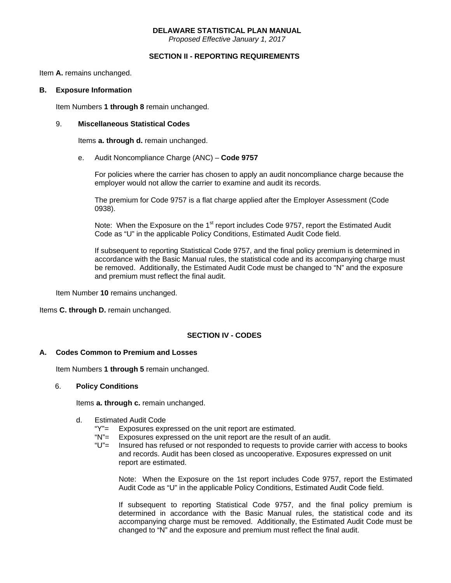#### **DELAWARE STATISTICAL PLAN MANUAL**

*Proposed Effective January 1, 2017* 

#### **SECTION II - REPORTING REQUIREMENTS**

Item **A.** remains unchanged.

#### **B. Exposure Information**

Item Numbers **1 through 8** remain unchanged.

#### 9. **Miscellaneous Statistical Codes**

Items **a. through d.** remain unchanged.

e. Audit Noncompliance Charge (ANC) – **Code 9757**

 For policies where the carrier has chosen to apply an audit noncompliance charge because the employer would not allow the carrier to examine and audit its records.

 The premium for Code 9757 is a flat charge applied after the Employer Assessment (Code 0938).

Note: When the Exposure on the 1<sup>st</sup> report includes Code 9757, report the Estimated Audit Code as "U" in the applicable Policy Conditions, Estimated Audit Code field.

> If subsequent to reporting Statistical Code 9757, and the final policy premium is determined in accordance with the Basic Manual rules, the statistical code and its accompanying charge must be removed. Additionally, the Estimated Audit Code must be changed to "N" and the exposure and premium must reflect the final audit.

Item Number **10** remains unchanged.

Items **C. through D.** remain unchanged.

#### **SECTION IV - CODES**

#### **A. Codes Common to Premium and Losses**

Item Numbers **1 through 5** remain unchanged.

#### 6. **Policy Conditions**

Items **a. through c.** remain unchanged.

- d. Estimated Audit Code
	- "Y"= Exposures expressed on the unit report are estimated.
	- "N"= Exposures expressed on the unit report are the result of an audit.
	- "U"= Insured has refused or not responded to requests to provide carrier with access to books and records. Audit has been closed as uncooperative. Exposures expressed on unit report are estimated.

 Note: When the Exposure on the 1st report includes Code 9757, report the Estimated Audit Code as "U" in the applicable Policy Conditions, Estimated Audit Code field.

 If subsequent to reporting Statistical Code 9757, and the final policy premium is determined in accordance with the Basic Manual rules, the statistical code and its accompanying charge must be removed. Additionally, the Estimated Audit Code must be changed to "N" and the exposure and premium must reflect the final audit.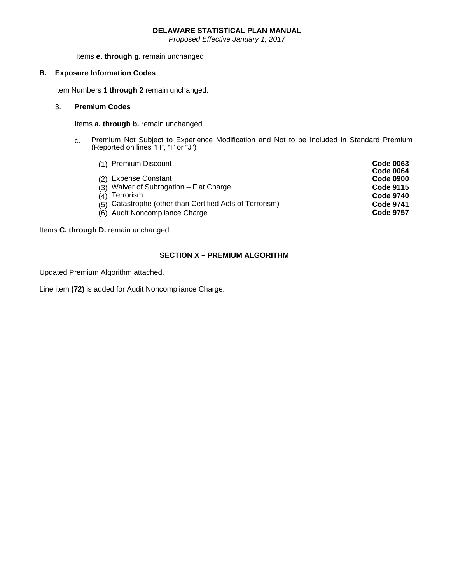#### **DELAWARE STATISTICAL PLAN MANUAL**

*Proposed Effective January 1, 2017* 

Items **e. through g.** remain unchanged.

#### **B. Exposure Information Codes**

Item Numbers **1 through 2** remain unchanged.

#### 3. **Premium Codes**

Items **a. through b.** remain unchanged.

 c. Premium Not Subject to Experience Modification and Not to be Included in Standard Premium (Reported on lines "H", "I" or "J")

|     | (1) Premium Discount                                     | <b>Code 0063</b><br><b>Code 0064</b> |
|-----|----------------------------------------------------------|--------------------------------------|
| (2) | <b>Expense Constant</b>                                  | <b>Code 0900</b>                     |
|     | (3) Waiver of Subrogation - Flat Charge                  | <b>Code 9115</b>                     |
| (4) | Terrorism                                                | <b>Code 9740</b>                     |
|     | (5) Catastrophe (other than Certified Acts of Terrorism) | <b>Code 9741</b>                     |
|     | (6) Audit Noncompliance Charge                           | <b>Code 9757</b>                     |

#### Items **C. through D.** remain unchanged.

#### **SECTION X – PREMIUM ALGORITHM**

Updated Premium Algorithm attached.

Line item **(72)** is added for Audit Noncompliance Charge.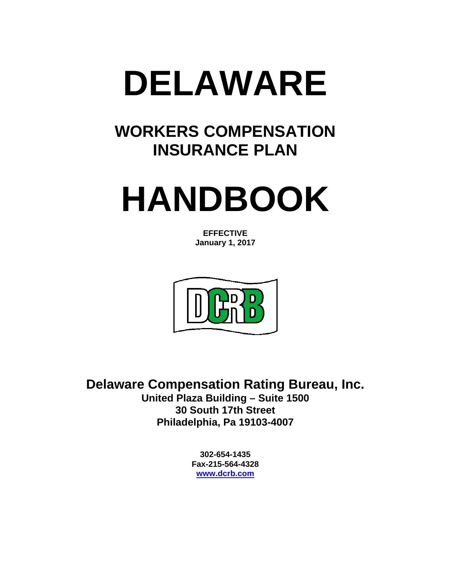

# **WORKERS COMPENSATION INSURANCE PLAN**

# **HANDBOOK**

**EFFECTIVE January 1, 2017** 



**Delaware Compensation Rating Bureau, Inc. United Plaza Building – Suite 1500 30 South 17th Street Philadelphia, Pa 19103-4007** 

> **302-654-1435 Fax-215-564-4328 www.dcrb.com**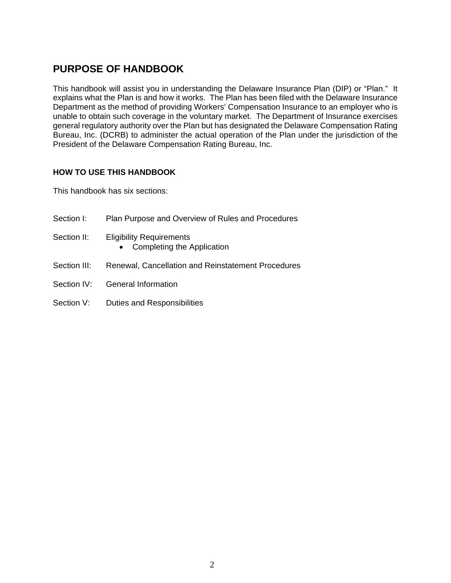# **PURPOSE OF HANDBOOK**

This handbook will assist you in understanding the Delaware Insurance Plan (DIP) or "Plan." It explains what the Plan is and how it works. The Plan has been filed with the Delaware Insurance Department as the method of providing Workers' Compensation Insurance to an employer who is unable to obtain such coverage in the voluntary market. The Department of Insurance exercises general regulatory authority over the Plan but has designated the Delaware Compensation Rating Bureau, Inc. (DCRB) to administer the actual operation of the Plan under the jurisdiction of the President of the Delaware Compensation Rating Bureau, Inc.

#### **HOW TO USE THIS HANDBOOK**

This handbook has six sections:

Section I: Plan Purpose and Overview of Rules and Procedures Section II: Eligibility Requirements • Completing the Application Section III: Renewal, Cancellation and Reinstatement Procedures Section IV: General Information Section V: Duties and Responsibilities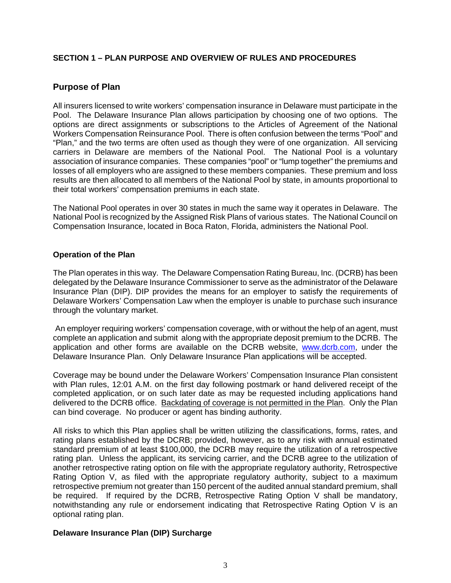## **SECTION 1 – PLAN PURPOSE AND OVERVIEW OF RULES AND PROCEDURES**

# **Purpose of Plan**

All insurers licensed to write workers' compensation insurance in Delaware must participate in the Pool. The Delaware Insurance Plan allows participation by choosing one of two options. The options are direct assignments or subscriptions to the Articles of Agreement of the National Workers Compensation Reinsurance Pool. There is often confusion between the terms "Pool" and "Plan," and the two terms are often used as though they were of one organization. All servicing carriers in Delaware are members of the National Pool. The National Pool is a voluntary association of insurance companies. These companies "pool" or "lump together" the premiums and losses of all employers who are assigned to these members companies. These premium and loss results are then allocated to all members of the National Pool by state, in amounts proportional to their total workers' compensation premiums in each state.

The National Pool operates in over 30 states in much the same way it operates in Delaware. The National Pool is recognized by the Assigned Risk Plans of various states. The National Council on Compensation Insurance, located in Boca Raton, Florida, administers the National Pool.

#### **Operation of the Plan**

The Plan operates in this way. The Delaware Compensation Rating Bureau, Inc. (DCRB) has been delegated by the Delaware Insurance Commissioner to serve as the administrator of the Delaware Insurance Plan (DIP). DIP provides the means for an employer to satisfy the requirements of Delaware Workers' Compensation Law when the employer is unable to purchase such insurance through the voluntary market.

 An employer requiring workers' compensation coverage, with or without the help of an agent, must complete an application and submit along with the appropriate deposit premium to the DCRB. The application and other forms are available on the DCRB website, www.dcrb.com, under the Delaware Insurance Plan. Only Delaware Insurance Plan applications will be accepted.

Coverage may be bound under the Delaware Workers' Compensation Insurance Plan consistent with Plan rules, 12:01 A.M. on the first day following postmark or hand delivered receipt of the completed application, or on such later date as may be requested including applications hand delivered to the DCRB office. Backdating of coverage is not permitted in the Plan. Only the Plan can bind coverage. No producer or agent has binding authority.

All risks to which this Plan applies shall be written utilizing the classifications, forms, rates, and rating plans established by the DCRB; provided, however, as to any risk with annual estimated standard premium of at least \$100,000, the DCRB may require the utilization of a retrospective rating plan. Unless the applicant, its servicing carrier, and the DCRB agree to the utilization of another retrospective rating option on file with the appropriate regulatory authority, Retrospective Rating Option V, as filed with the appropriate regulatory authority, subject to a maximum retrospective premium not greater than 150 percent of the audited annual standard premium, shall be required. If required by the DCRB, Retrospective Rating Option V shall be mandatory, notwithstanding any rule or endorsement indicating that Retrospective Rating Option V is an optional rating plan.

#### **Delaware Insurance Plan (DIP) Surcharge**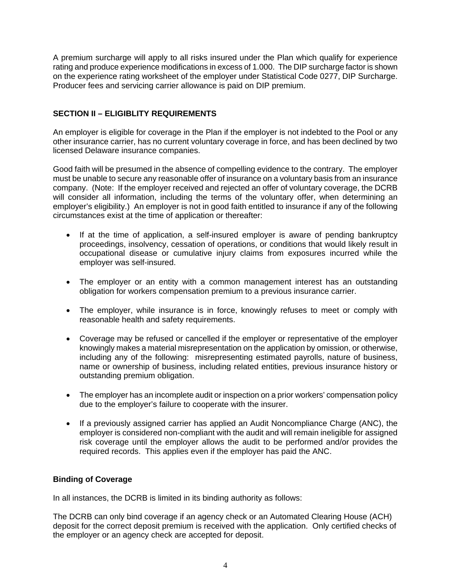A premium surcharge will apply to all risks insured under the Plan which qualify for experience rating and produce experience modifications in excess of 1.000. The DIP surcharge factor is shown on the experience rating worksheet of the employer under Statistical Code 0277, DIP Surcharge. Producer fees and servicing carrier allowance is paid on DIP premium.

# **SECTION II – ELIGIBLITY REQUIREMENTS**

An employer is eligible for coverage in the Plan if the employer is not indebted to the Pool or any other insurance carrier, has no current voluntary coverage in force, and has been declined by two licensed Delaware insurance companies.

Good faith will be presumed in the absence of compelling evidence to the contrary. The employer must be unable to secure any reasonable offer of insurance on a voluntary basis from an insurance company. (Note: If the employer received and rejected an offer of voluntary coverage, the DCRB will consider all information, including the terms of the voluntary offer, when determining an employer's eligibility.) An employer is not in good faith entitled to insurance if any of the following circumstances exist at the time of application or thereafter:

- If at the time of application, a self-insured employer is aware of pending bankruptcy proceedings, insolvency, cessation of operations, or conditions that would likely result in occupational disease or cumulative injury claims from exposures incurred while the employer was self-insured.
- The employer or an entity with a common management interest has an outstanding obligation for workers compensation premium to a previous insurance carrier.
- The employer, while insurance is in force, knowingly refuses to meet or comply with reasonable health and safety requirements.
- Coverage may be refused or cancelled if the employer or representative of the employer knowingly makes a material misrepresentation on the application by omission, or otherwise, including any of the following: misrepresenting estimated payrolls, nature of business, name or ownership of business, including related entities, previous insurance history or outstanding premium obligation.
- The employer has an incomplete audit or inspection on a prior workers' compensation policy due to the employer's failure to cooperate with the insurer.
- If a previously assigned carrier has applied an Audit Noncompliance Charge (ANC), the employer is considered non-compliant with the audit and will remain ineligible for assigned risk coverage until the employer allows the audit to be performed and/or provides the required records. This applies even if the employer has paid the ANC.

#### **Binding of Coverage**

In all instances, the DCRB is limited in its binding authority as follows:

The DCRB can only bind coverage if an agency check or an Automated Clearing House (ACH) deposit for the correct deposit premium is received with the application. Only certified checks of the employer or an agency check are accepted for deposit.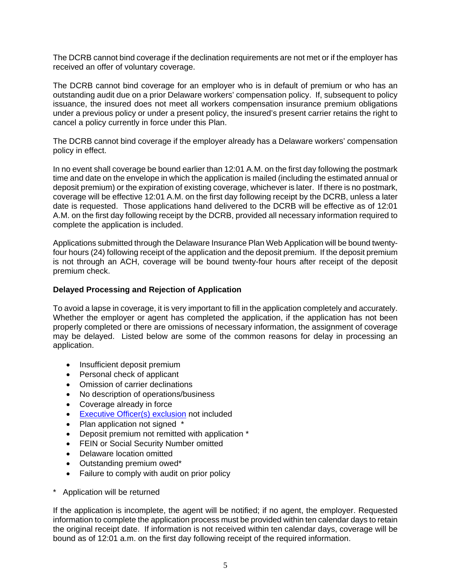The DCRB cannot bind coverage if the declination requirements are not met or if the employer has received an offer of voluntary coverage.

The DCRB cannot bind coverage for an employer who is in default of premium or who has an outstanding audit due on a prior Delaware workers' compensation policy. If, subsequent to policy issuance, the insured does not meet all workers compensation insurance premium obligations under a previous policy or under a present policy, the insured's present carrier retains the right to cancel a policy currently in force under this Plan.

The DCRB cannot bind coverage if the employer already has a Delaware workers' compensation policy in effect.

In no event shall coverage be bound earlier than 12:01 A.M. on the first day following the postmark time and date on the envelope in which the application is mailed (including the estimated annual or deposit premium) or the expiration of existing coverage, whichever is later. If there is no postmark, coverage will be effective 12:01 A.M. on the first day following receipt by the DCRB, unless a later date is requested. Those applications hand delivered to the DCRB will be effective as of 12:01 A.M. on the first day following receipt by the DCRB, provided all necessary information required to complete the application is included.

Applications submitted through the Delaware Insurance Plan Web Application will be bound twentyfour hours (24) following receipt of the application and the deposit premium. If the deposit premium is not through an ACH, coverage will be bound twenty-four hours after receipt of the deposit premium check.

#### **Delayed Processing and Rejection of Application**

To avoid a lapse in coverage, it is very important to fill in the application completely and accurately. Whether the employer or agent has completed the application, if the application has not been properly completed or there are omissions of necessary information, the assignment of coverage may be delayed. Listed below are some of the common reasons for delay in processing an application.

- Insufficient deposit premium
- Personal check of applicant
- Omission of carrier declinations
- No description of operations/business
- Coverage already in force
- **Executive Officer(s) exclusion** not included
- Plan application not signed \*
- Deposit premium not remitted with application \*
- FEIN or Social Security Number omitted
- Delaware location omitted
- Outstanding premium owed\*
- Failure to comply with audit on prior policy
- \* Application will be returned

If the application is incomplete, the agent will be notified; if no agent, the employer. Requested information to complete the application process must be provided within ten calendar days to retain the original receipt date. If information is not received within ten calendar days, coverage will be bound as of 12:01 a.m. on the first day following receipt of the required information.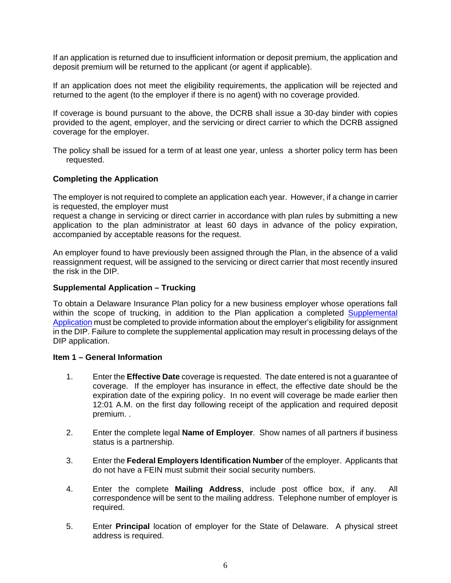If an application is returned due to insufficient information or deposit premium, the application and deposit premium will be returned to the applicant (or agent if applicable).

If an application does not meet the eligibility requirements, the application will be rejected and returned to the agent (to the employer if there is no agent) with no coverage provided.

If coverage is bound pursuant to the above, the DCRB shall issue a 30-day binder with copies provided to the agent, employer, and the servicing or direct carrier to which the DCRB assigned coverage for the employer.

The policy shall be issued for a term of at least one year, unless a shorter policy term has been requested.

#### **Completing the Application**

The employer is not required to complete an application each year. However, if a change in carrier is requested, the employer must

request a change in servicing or direct carrier in accordance with plan rules by submitting a new application to the plan administrator at least 60 days in advance of the policy expiration, accompanied by acceptable reasons for the request.

An employer found to have previously been assigned through the Plan, in the absence of a valid reassignment request, will be assigned to the servicing or direct carrier that most recently insured the risk in the DIP.

#### **Supplemental Application – Trucking**

To obtain a Delaware Insurance Plan policy for a new business employer whose operations fall within the scope of trucking, in addition to the Plan application a completed Supplemental Application must be completed to provide information about the employer's eligibility for assignment in the DIP. Failure to complete the supplemental application may result in processing delays of the DIP application.

#### **Item 1 – General Information**

- 1. Enter the **Effective Date** coverage is requested. The date entered is not a guarantee of coverage. If the employer has insurance in effect, the effective date should be the expiration date of the expiring policy. In no event will coverage be made earlier then 12:01 A.M. on the first day following receipt of the application and required deposit premium. .
- 2. Enter the complete legal **Name of Employer**. Show names of all partners if business status is a partnership.
- 3. Enter the **Federal Employers Identification Number** of the employer. Applicants that do not have a FEIN must submit their social security numbers.
- 4. Enter the complete **Mailing Address**, include post office box, if any. All correspondence will be sent to the mailing address. Telephone number of employer is required.
- 5. Enter **Principal** location of employer for the State of Delaware. A physical street address is required.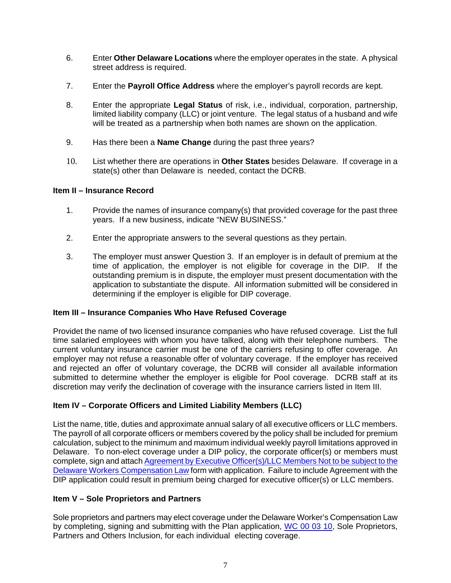- 6. Enter **Other Delaware Locations** where the employer operates in the state. A physical street address is required.
- 7. Enter the **Payroll Office Address** where the employer's payroll records are kept.
- 8. Enter the appropriate **Legal Status** of risk, i.e., individual, corporation, partnership, limited liability company (LLC) or joint venture. The legal status of a husband and wife will be treated as a partnership when both names are shown on the application.
- 9. Has there been a **Name Change** during the past three years?
- 10. List whether there are operations in **Other States** besides Delaware. If coverage in a state(s) other than Delaware is needed, contact the DCRB.

# **Item II – Insurance Record**

- 1. Provide the names of insurance company(s) that provided coverage for the past three years. If a new business, indicate "NEW BUSINESS."
- 2. Enter the appropriate answers to the several questions as they pertain.
- 3. The employer must answer Question 3. If an employer is in default of premium at the time of application, the employer is not eligible for coverage in the DIP. If the outstanding premium is in dispute, the employer must present documentation with the application to substantiate the dispute. All information submitted will be considered in determining if the employer is eligible for DIP coverage.

# **Item III – Insurance Companies Who Have Refused Coverage**

Providet the name of two licensed insurance companies who have refused coverage. List the full time salaried employees with whom you have talked, along with their telephone numbers. The current voluntary insurance carrier must be one of the carriers refusing to offer coverage. An employer may not refuse a reasonable offer of voluntary coverage. If the employer has received and rejected an offer of voluntary coverage, the DCRB will consider all available information submitted to determine whether the employer is eligible for Pool coverage. DCRB staff at its discretion may verify the declination of coverage with the insurance carriers listed in Item III.

# **Item IV – Corporate Officers and Limited Liability Members (LLC)**

List the name, title, duties and approximate annual salary of all executive officers or LLC members. The payroll of all corporate officers or members covered by the policy shall be included for premium calculation, subject to the minimum and maximum individual weekly payroll limitations approved in Delaware. To non-elect coverage under a DIP policy, the corporate officer(s) or members must complete, sign and attach Agreement by Executive Officer(s)/LLC Members Not to be subject to the Delaware Workers Compensation Law form with application. Failure to include Agreement with the DIP application could result in premium being charged for executive officer(s) or LLC members.

#### **Item V – Sole Proprietors and Partners**

Sole proprietors and partners may elect coverage under the Delaware Worker's Compensation Law by completing, signing and submitting with the Plan application, WC 00 03 10, Sole Proprietors, Partners and Others Inclusion, for each individual electing coverage.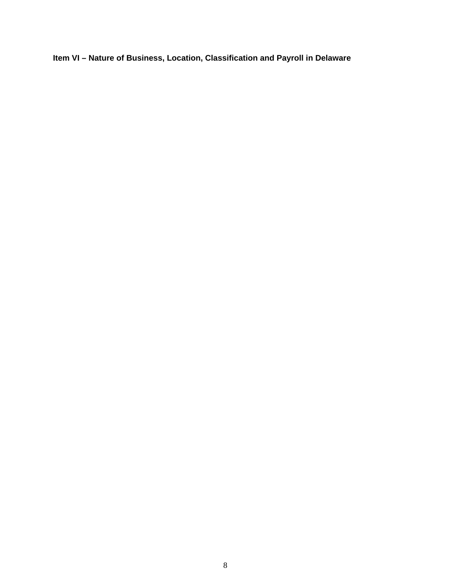**Item VI – Nature of Business, Location, Classification and Payroll in Delaware**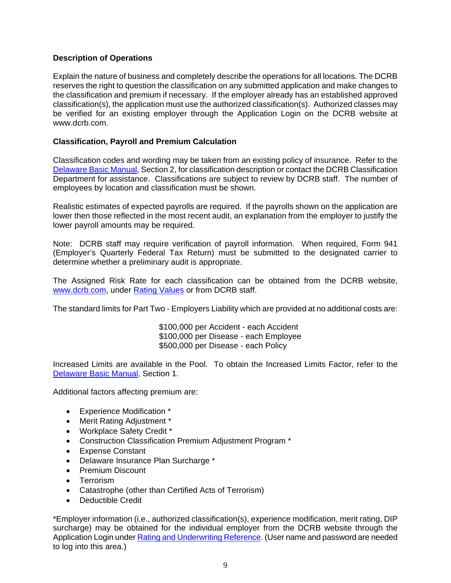## **Description of Operations**

Explain the nature of business and completely describe the operations for all locations. The DCRB reserves the right to question the classification on any submitted application and make changes to the classification and premium if necessary. If the employer already has an established approved classification(s), the application must use the authorized classification(s). Authorized classes may be verified for an existing employer through the Application Login on the DCRB website at www.dcrb.com.

## **Classification, Payroll and Premium Calculation**

Classification codes and wording may be taken from an existing policy of insurance. Refer to the Delaware Basic Manual, Section 2, for classification description or contact the DCRB Classification Department for assistance. Classifications are subject to review by DCRB staff. The number of employees by location and classification must be shown.

Realistic estimates of expected payrolls are required. If the payrolls shown on the application are lower then those reflected in the most recent audit, an explanation from the employer to justify the lower payroll amounts may be required.

Note: DCRB staff may require verification of payroll information. When required, Form 941 (Employer's Quarterly Federal Tax Return) must be submitted to the designated carrier to determine whether a preliminary audit is appropriate.

The Assigned Risk Rate for each classification can be obtained from the DCRB website, www.dcrb.com, under Rating Values or from DCRB staff.

The standard limits for Part Two - Employers Liability which are provided at no additional costs are:

 \$100,000 per Accident - each Accident \$100,000 per Disease - each Employee \$500,000 per Disease - each Policy

Increased Limits are available in the Pool. To obtain the Increased Limits Factor, refer to the Delaware Basic Manual, Section 1.

Additional factors affecting premium are:

- Experience Modification \*
- Merit Rating Adjustment \*
- Workplace Safety Credit \*
- Construction Classification Premium Adjustment Program \*
- Expense Constant
- Delaware Insurance Plan Surcharge \*
- Premium Discount
- **•** Terrorism
- Catastrophe (other than Certified Acts of Terrorism)
- Deductible Credit

\*Employer information (i.e., authorized classification(s), experience modification, merit rating, DIP surcharge) may be obtained for the individual employer from the DCRB website through the Application Login under Rating and Underwriting Reference. (User name and password are needed to log into this area.)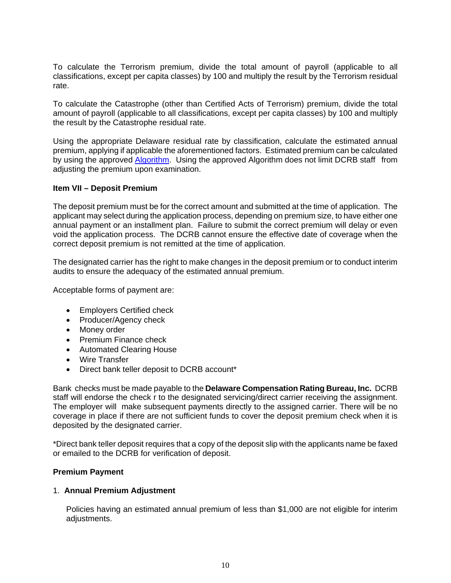To calculate the Terrorism premium, divide the total amount of payroll (applicable to all classifications, except per capita classes) by 100 and multiply the result by the Terrorism residual rate.

To calculate the Catastrophe (other than Certified Acts of Terrorism) premium, divide the total amount of payroll (applicable to all classifications, except per capita classes) by 100 and multiply the result by the Catastrophe residual rate.

Using the appropriate Delaware residual rate by classification, calculate the estimated annual premium, applying if applicable the aforementioned factors. Estimated premium can be calculated by using the approved **Algorithm**. Using the approved Algorithm does not limit DCRB staff from adjusting the premium upon examination.

#### **Item VII – Deposit Premium**

The deposit premium must be for the correct amount and submitted at the time of application. The applicant may select during the application process, depending on premium size, to have either one annual payment or an installment plan. Failure to submit the correct premium will delay or even void the application process. The DCRB cannot ensure the effective date of coverage when the correct deposit premium is not remitted at the time of application.

The designated carrier has the right to make changes in the deposit premium or to conduct interim audits to ensure the adequacy of the estimated annual premium.

Acceptable forms of payment are:

- Employers Certified check
- Producer/Agency check
- Money order
- Premium Finance check
- Automated Clearing House
- Wire Transfer
- Direct bank teller deposit to DCRB account\*

Bank checks must be made payable to the **Delaware Compensation Rating Bureau, Inc.** DCRB staff will endorse the check r to the designated servicing/direct carrier receiving the assignment. The employer will make subsequent payments directly to the assigned carrier. There will be no coverage in place if there are not sufficient funds to cover the deposit premium check when it is deposited by the designated carrier.

\*Direct bank teller deposit requires that a copy of the deposit slip with the applicants name be faxed or emailed to the DCRB for verification of deposit.

#### **Premium Payment**

#### 1. **Annual Premium Adjustment**

Policies having an estimated annual premium of less than \$1,000 are not eligible for interim adjustments.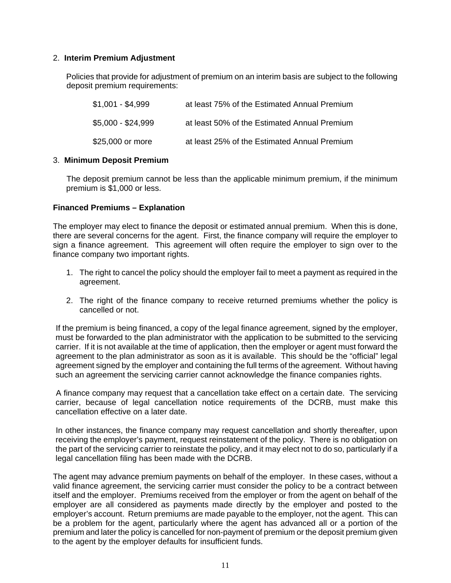#### 2. **Interim Premium Adjustment**

Policies that provide for adjustment of premium on an interim basis are subject to the following deposit premium requirements:

| $$1,001 - $4,999$  | at least 75% of the Estimated Annual Premium |
|--------------------|----------------------------------------------|
| $$5,000 - $24,999$ | at least 50% of the Estimated Annual Premium |
| \$25,000 or more   | at least 25% of the Estimated Annual Premium |

#### 3. **Minimum Deposit Premium**

 The deposit premium cannot be less than the applicable minimum premium, if the minimum premium is \$1,000 or less.

#### **Financed Premiums – Explanation**

The employer may elect to finance the deposit or estimated annual premium. When this is done, there are several concerns for the agent. First, the finance company will require the employer to sign a finance agreement. This agreement will often require the employer to sign over to the finance company two important rights.

- 1. The right to cancel the policy should the employer fail to meet a payment as required in the agreement.
- 2. The right of the finance company to receive returned premiums whether the policy is cancelled or not.

 If the premium is being financed, a copy of the legal finance agreement, signed by the employer, must be forwarded to the plan administrator with the application to be submitted to the servicing carrier. If it is not available at the time of application, then the employer or agent must forward the agreement to the plan administrator as soon as it is available. This should be the "official" legal agreement signed by the employer and containing the full terms of the agreement. Without having such an agreement the servicing carrier cannot acknowledge the finance companies rights.

 A finance company may request that a cancellation take effect on a certain date. The servicing carrier, because of legal cancellation notice requirements of the DCRB, must make this cancellation effective on a later date.

 In other instances, the finance company may request cancellation and shortly thereafter, upon receiving the employer's payment, request reinstatement of the policy. There is no obligation on the part of the servicing carrier to reinstate the policy, and it may elect not to do so, particularly if a legal cancellation filing has been made with the DCRB.

The agent may advance premium payments on behalf of the employer. In these cases, without a valid finance agreement, the servicing carrier must consider the policy to be a contract between itself and the employer. Premiums received from the employer or from the agent on behalf of the employer are all considered as payments made directly by the employer and posted to the employer's account. Return premiums are made payable to the employer, not the agent. This can be a problem for the agent, particularly where the agent has advanced all or a portion of the premium and later the policy is cancelled for non-payment of premium or the deposit premium given to the agent by the employer defaults for insufficient funds.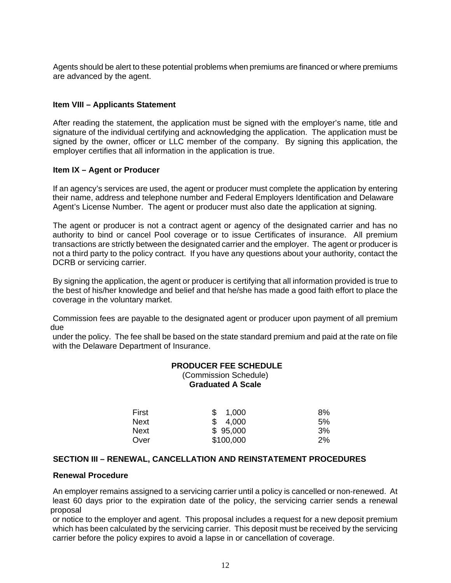Agents should be alert to these potential problems when premiums are financed or where premiums are advanced by the agent.

#### **Item VIII – Applicants Statement**

After reading the statement, the application must be signed with the employer's name, title and signature of the individual certifying and acknowledging the application. The application must be signed by the owner, officer or LLC member of the company. By signing this application, the employer certifies that all information in the application is true.

#### **Item IX – Agent or Producer**

 If an agency's services are used, the agent or producer must complete the application by entering their name, address and telephone number and Federal Employers Identification and Delaware Agent's License Number. The agent or producer must also date the application at signing.

 The agent or producer is not a contract agent or agency of the designated carrier and has no authority to bind or cancel Pool coverage or to issue Certificates of insurance. All premium transactions are strictly between the designated carrier and the employer. The agent or producer is not a third party to the policy contract. If you have any questions about your authority, contact the DCRB or servicing carrier.

 By signing the application, the agent or producer is certifying that all information provided is true to the best of his/her knowledge and belief and that he/she has made a good faith effort to place the coverage in the voluntary market.

 Commission fees are payable to the designated agent or producer upon payment of all premium due

 under the policy. The fee shall be based on the state standard premium and paid at the rate on file with the Delaware Department of Insurance.

#### **PRODUCER FEE SCHEDULE**  (Commission Schedule) **Graduated A Scale**

| First | 1,000<br>\$ | 8%    |
|-------|-------------|-------|
| Next  | \$4,000     | 5%    |
| Next  | \$95,000    | 3%    |
| Over  | \$100,000   | $2\%$ |

#### **SECTION III – RENEWAL, CANCELLATION AND REINSTATEMENT PROCEDURES**

#### **Renewal Procedure**

 An employer remains assigned to a servicing carrier until a policy is cancelled or non-renewed. At least 60 days prior to the expiration date of the policy, the servicing carrier sends a renewal proposal

 or notice to the employer and agent. This proposal includes a request for a new deposit premium which has been calculated by the servicing carrier. This deposit must be received by the servicing carrier before the policy expires to avoid a lapse in or cancellation of coverage.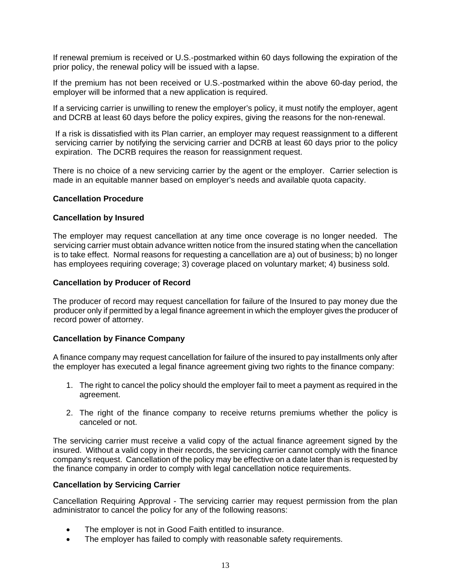If renewal premium is received or U.S.-postmarked within 60 days following the expiration of the prior policy, the renewal policy will be issued with a lapse.

If the premium has not been received or U.S.-postmarked within the above 60-day period, the employer will be informed that a new application is required.

If a servicing carrier is unwilling to renew the employer's policy, it must notify the employer, agent and DCRB at least 60 days before the policy expires, giving the reasons for the non-renewal.

 If a risk is dissatisfied with its Plan carrier, an employer may request reassignment to a different servicing carrier by notifying the servicing carrier and DCRB at least 60 days prior to the policy expiration. The DCRB requires the reason for reassignment request.

There is no choice of a new servicing carrier by the agent or the employer. Carrier selection is made in an equitable manner based on employer's needs and available quota capacity.

#### **Cancellation Procedure**

#### **Cancellation by Insured**

 The employer may request cancellation at any time once coverage is no longer needed. The servicing carrier must obtain advance written notice from the insured stating when the cancellation is to take effect. Normal reasons for requesting a cancellation are a) out of business; b) no longer has employees requiring coverage; 3) coverage placed on voluntary market; 4) business sold.

#### **Cancellation by Producer of Record**

 The producer of record may request cancellation for failure of the Insured to pay money due the producer only if permitted by a legal finance agreement in which the employer gives the producer of record power of attorney.

#### **Cancellation by Finance Company**

A finance company may request cancellation for failure of the insured to pay installments only after the employer has executed a legal finance agreement giving two rights to the finance company:

- 1. The right to cancel the policy should the employer fail to meet a payment as required in the agreement.
- 2. The right of the finance company to receive returns premiums whether the policy is canceled or not.

The servicing carrier must receive a valid copy of the actual finance agreement signed by the insured. Without a valid copy in their records, the servicing carrier cannot comply with the finance company's request. Cancellation of the policy may be effective on a date later than is requested by the finance company in order to comply with legal cancellation notice requirements.

#### **Cancellation by Servicing Carrier**

Cancellation Requiring Approval - The servicing carrier may request permission from the plan administrator to cancel the policy for any of the following reasons:

- The employer is not in Good Faith entitled to insurance.
- The employer has failed to comply with reasonable safety requirements.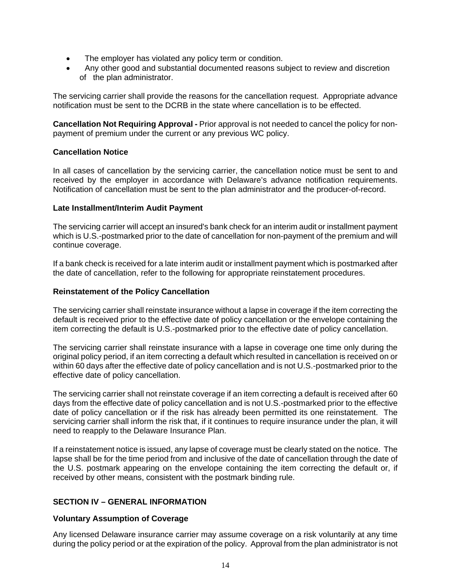- The employer has violated any policy term or condition.
- Any other good and substantial documented reasons subject to review and discretion of the plan administrator.

The servicing carrier shall provide the reasons for the cancellation request. Appropriate advance notification must be sent to the DCRB in the state where cancellation is to be effected.

**Cancellation Not Requiring Approval -** Prior approval is not needed to cancel the policy for nonpayment of premium under the current or any previous WC policy.

#### **Cancellation Notice**

In all cases of cancellation by the servicing carrier, the cancellation notice must be sent to and received by the employer in accordance with Delaware's advance notification requirements. Notification of cancellation must be sent to the plan administrator and the producer-of-record.

#### **Late Installment/Interim Audit Payment**

The servicing carrier will accept an insured's bank check for an interim audit or installment payment which is U.S.-postmarked prior to the date of cancellation for non-payment of the premium and will continue coverage.

If a bank check is received for a late interim audit or installment payment which is postmarked after the date of cancellation, refer to the following for appropriate reinstatement procedures.

#### **Reinstatement of the Policy Cancellation**

The servicing carrier shall reinstate insurance without a lapse in coverage if the item correcting the default is received prior to the effective date of policy cancellation or the envelope containing the item correcting the default is U.S.-postmarked prior to the effective date of policy cancellation.

The servicing carrier shall reinstate insurance with a lapse in coverage one time only during the original policy period, if an item correcting a default which resulted in cancellation is received on or within 60 days after the effective date of policy cancellation and is not U.S.-postmarked prior to the effective date of policy cancellation.

The servicing carrier shall not reinstate coverage if an item correcting a default is received after 60 days from the effective date of policy cancellation and is not U.S.-postmarked prior to the effective date of policy cancellation or if the risk has already been permitted its one reinstatement. The servicing carrier shall inform the risk that, if it continues to require insurance under the plan, it will need to reapply to the Delaware Insurance Plan.

If a reinstatement notice is issued, any lapse of coverage must be clearly stated on the notice. The lapse shall be for the time period from and inclusive of the date of cancellation through the date of the U.S. postmark appearing on the envelope containing the item correcting the default or, if received by other means, consistent with the postmark binding rule.

#### **SECTION IV – GENERAL INFORMATION**

#### **Voluntary Assumption of Coverage**

Any licensed Delaware insurance carrier may assume coverage on a risk voluntarily at any time during the policy period or at the expiration of the policy. Approval from the plan administrator is not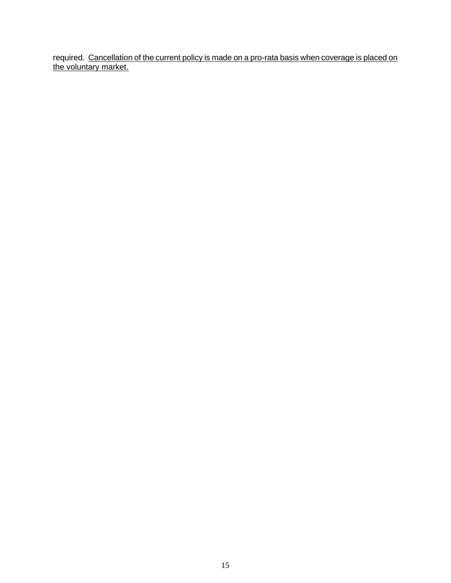required. Cancellation of the current policy is made on a pro-rata basis when coverage is placed on the voluntary market.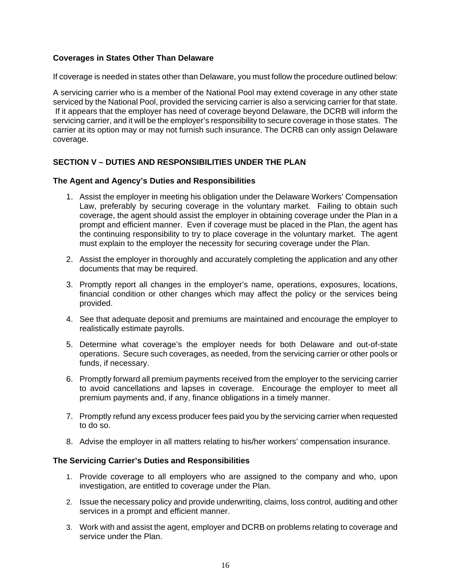#### **Coverages in States Other Than Delaware**

If coverage is needed in states other than Delaware, you must follow the procedure outlined below:

A servicing carrier who is a member of the National Pool may extend coverage in any other state serviced by the National Pool, provided the servicing carrier is also a servicing carrier for that state. If it appears that the employer has need of coverage beyond Delaware, the DCRB will inform the servicing carrier, and it will be the employer's responsibility to secure coverage in those states. The carrier at its option may or may not furnish such insurance. The DCRB can only assign Delaware coverage.

#### **SECTION V – DUTIES AND RESPONSIBILITIES UNDER THE PLAN**

#### **The Agent and Agency's Duties and Responsibilities**

- 1. Assist the employer in meeting his obligation under the Delaware Workers' Compensation Law, preferably by securing coverage in the voluntary market. Failing to obtain such coverage, the agent should assist the employer in obtaining coverage under the Plan in a prompt and efficient manner. Even if coverage must be placed in the Plan, the agent has the continuing responsibility to try to place coverage in the voluntary market. The agent must explain to the employer the necessity for securing coverage under the Plan.
- 2. Assist the employer in thoroughly and accurately completing the application and any other documents that may be required.
- 3. Promptly report all changes in the employer's name, operations, exposures, locations, financial condition or other changes which may affect the policy or the services being provided.
- 4. See that adequate deposit and premiums are maintained and encourage the employer to realistically estimate payrolls.
- 5. Determine what coverage's the employer needs for both Delaware and out-of-state operations. Secure such coverages, as needed, from the servicing carrier or other pools or funds, if necessary.
- 6. Promptly forward all premium payments received from the employer to the servicing carrier to avoid cancellations and lapses in coverage. Encourage the employer to meet all premium payments and, if any, finance obligations in a timely manner.
- 7. Promptly refund any excess producer fees paid you by the servicing carrier when requested to do so.
- 8. Advise the employer in all matters relating to his/her workers' compensation insurance.

#### **The Servicing Carrier's Duties and Responsibilities**

- 1. Provide coverage to all employers who are assigned to the company and who, upon investigation, are entitled to coverage under the Plan.
- 2. Issue the necessary policy and provide underwriting, claims, loss control, auditing and other services in a prompt and efficient manner.
- 3. Work with and assist the agent, employer and DCRB on problems relating to coverage and service under the Plan.